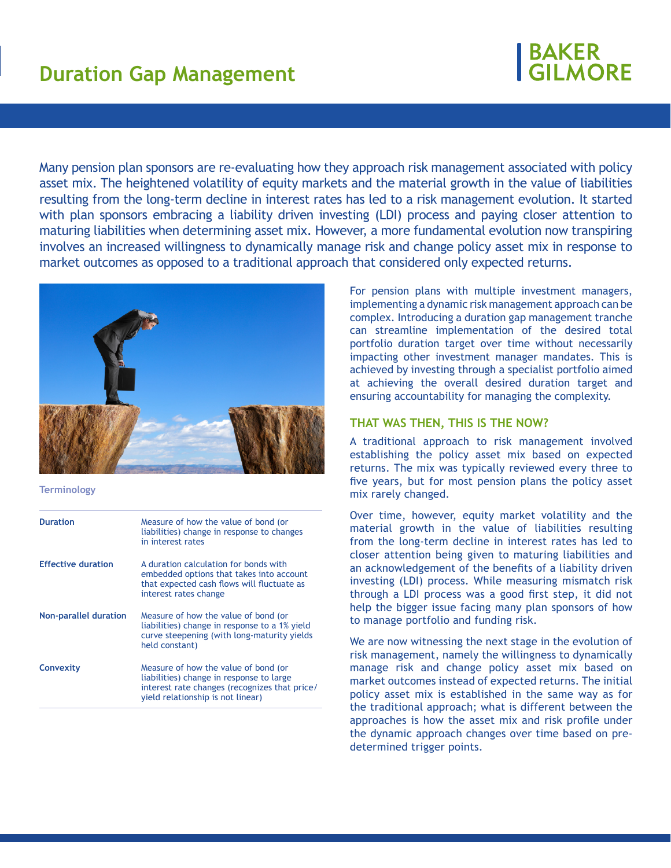# **BAKER<br>GILMORE**

Many pension plan sponsors are re-evaluating how they approach risk management associated with policy asset mix. The heightened volatility of equity markets and the material growth in the value of liabilities resulting from the long-term decline in interest rates has led to a risk management evolution. It started with plan sponsors embracing a liability driven investing (LDI) process and paying closer attention to maturing liabilities when determining asset mix. However, a more fundamental evolution now transpiring involves an increased willingness to dynamically manage risk and change policy asset mix in response to market outcomes as opposed to a traditional approach that considered only expected returns.



#### **Terminology**

| <b>Duration</b>              | Measure of how the value of bond (or<br>liabilities) change in response to changes<br>in interest rates                                                                |
|------------------------------|------------------------------------------------------------------------------------------------------------------------------------------------------------------------|
| <b>Effective duration</b>    | A duration calculation for bonds with<br>embedded options that takes into account<br>that expected cash flows will fluctuate as<br>interest rates change               |
| <b>Non-parallel duration</b> | Measure of how the value of bond (or<br>liabilities) change in response to a 1% yield<br>curve steepening (with long-maturity vields<br>held constant)                 |
| <b>Convexity</b>             | Measure of how the value of bond (or<br>liabilities) change in response to large<br>interest rate changes (recognizes that price/<br>vield relationship is not linear) |

For pension plans with multiple investment managers, implementing a dynamic risk management approach can be complex. Introducing a duration gap management tranche can streamline implementation of the desired total portfolio duration target over time without necessarily impacting other investment manager mandates. This is achieved by investing through a specialist portfolio aimed at achieving the overall desired duration target and ensuring accountability for managing the complexity.

### **THAT WAS THEN, THIS IS THE NOW?**

A traditional approach to risk management involved establishing the policy asset mix based on expected returns. The mix was typically reviewed every three to five years, but for most pension plans the policy asset mix rarely changed.

Over time, however, equity market volatility and the material growth in the value of liabilities resulting from the long-term decline in interest rates has led to closer attention being given to maturing liabilities and an acknowledgement of the benefits of a liability driven investing (LDI) process. While measuring mismatch risk through a LDI process was a good first step, it did not help the bigger issue facing many plan sponsors of how to manage portfolio and funding risk.

We are now witnessing the next stage in the evolution of risk management, namely the willingness to dynamically manage risk and change policy asset mix based on market outcomes instead of expected returns. The initial policy asset mix is established in the same way as for the traditional approach; what is different between the approaches is how the asset mix and risk profile under the dynamic approach changes over time based on predetermined trigger points.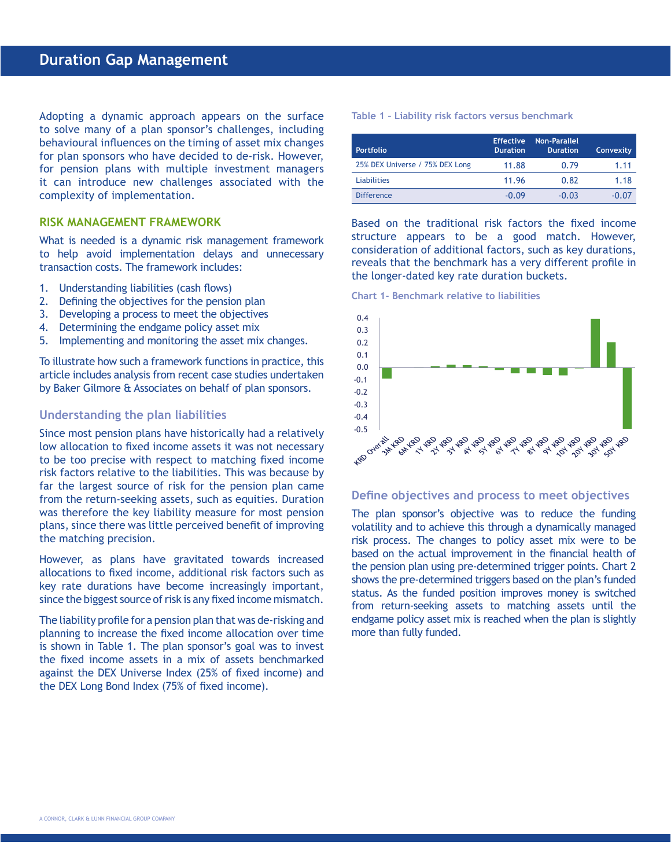Adopting a dynamic approach appears on the surface to solve many of a plan sponsor's challenges, including behavioural influences on the timing of asset mix changes for plan sponsors who have decided to de-risk. However, for pension plans with multiple investment managers it can introduce new challenges associated with the complexity of implementation.

## **RISK MANAGEMENT FRAMEWORK**

What is needed is a dynamic risk management framework to help avoid implementation delays and unnecessary transaction costs. The framework includes:

- 1. Understanding liabilities (cash flows)
- 2. Defining the objectives for the pension plan
- 3. Developing a process to meet the objectives
- 4. Determining the endgame policy asset mix
- 5. Implementing and monitoring the asset mix changes.

To illustrate how such a framework functions in practice, this article includes analysis from recent case studies undertaken by Baker Gilmore & Associates on behalf of plan sponsors.

### **Understanding the plan liabilities**

Since most pension plans have historically had a relatively low allocation to fixed income assets it was not necessary to be too precise with respect to matching fixed income risk factors relative to the liabilities. This was because by far the largest source of risk for the pension plan came from the return-seeking assets, such as equities. Duration was therefore the key liability measure for most pension plans, since there was little perceived benefit of improving the matching precision.

However, as plans have gravitated towards increased allocations to fixed income, additional risk factors such as key rate durations have become increasingly important, since the biggest source of risk is any fixed income mismatch.

The liability profile for a pension plan that was de-risking and planning to increase the fixed income allocation over time is shown in Table 1. The plan sponsor's goal was to invest the fixed income assets in a mix of assets benchmarked against the DEX Universe Index (25% of fixed income) and the DEX Long Bond Index (75% of fixed income).

**Table 1 – Liability risk factors versus benchmark**

| <b>Portfolio</b>                | <b>Effective</b><br><b>Duration</b> | <b>Non-Parallel</b><br><b>Duration</b> | <b>Convexity</b> |
|---------------------------------|-------------------------------------|----------------------------------------|------------------|
| 25% DEX Universe / 75% DEX Long | 11.88                               | 0.79                                   | 1.11             |
| <b>Liabilities</b>              | 11.96                               | 0.82                                   | 1.18             |
| <b>Difference</b>               | $-0.09$                             | $-0.03$                                | $-0.07$          |

Based on the traditional risk factors the fixed income structure appears to be a good match. However, consideration of additional factors, such as key durations, reveals that the benchmark has a very different profile in the longer-dated key rate duration buckets.





#### **Define objectives and process to meet objectives**

The plan sponsor's objective was to reduce the funding volatility and to achieve this through a dynamically managed risk process. The changes to policy asset mix were to be based on the actual improvement in the financial health of the pension plan using pre-determined trigger points. Chart 2 shows the pre-determined triggers based on the plan's funded status. As the funded position improves money is switched from return-seeking assets to matching assets until the endgame policy asset mix is reached when the plan is slightly more than fully funded.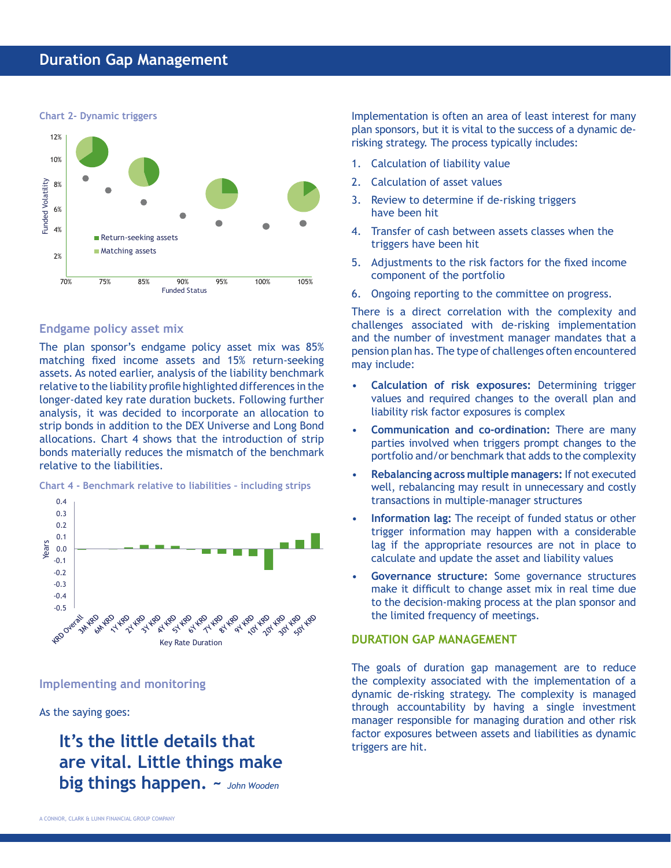

# **Endgame policy asset mix**

The plan sponsor's endgame policy asset mix was 85% matching fixed income assets and 15% return-seeking assets. As noted earlier, analysis of the liability benchmark relative to the liability profile highlighted differences in the longer-dated key rate duration buckets. Following further analysis, it was decided to incorporate an allocation to strip bonds in addition to the DEX Universe and Long Bond allocations. Chart 4 shows that the introduction of strip bonds materially reduces the mismatch of the benchmark relative to the liabilities.

**Chart 4 - Benchmark relative to liabilities – including strips**



**Implementing and monitoring**

As the saying goes:

**It's the little details that are vital. Little things make big things happen. ~** *John Wooden*

Implementation is often an area of least interest for many plan sponsors, but it is vital to the success of a dynamic derisking strategy. The process typically includes:

- 1. Calculation of liability value
- 2. Calculation of asset values
- 3. Review to determine if de-risking triggers have been hit
- 4. Transfer of cash between assets classes when the triggers have been hit
- 5. Adjustments to the risk factors for the fixed income component of the portfolio
- 6. Ongoing reporting to the committee on progress.

There is a direct correlation with the complexity and challenges associated with de-risking implementation and the number of investment manager mandates that a pension plan has. The type of challenges often encountered may include:

- **Calculation of risk exposures:** Determining trigger values and required changes to the overall plan and liability risk factor exposures is complex
- **Communication and co-ordination:** There are many parties involved when triggers prompt changes to the portfolio and/or benchmark that adds to the complexity
- **Rebalancing across multiple managers:** If not executed well, rebalancing may result in unnecessary and costly transactions in multiple-manager structures
- **Information lag:** The receipt of funded status or other trigger information may happen with a considerable lag if the appropriate resources are not in place to calculate and update the asset and liability values
- **Governance structure:** Some governance structures make it difficult to change asset mix in real time due to the decision-making process at the plan sponsor and the limited frequency of meetings.

# **DURATION GAP MANAGEMENT**

The goals of duration gap management are to reduce the complexity associated with the implementation of a dynamic de-risking strategy. The complexity is managed through accountability by having a single investment manager responsible for managing duration and other risk factor exposures between assets and liabilities as dynamic triggers are hit.